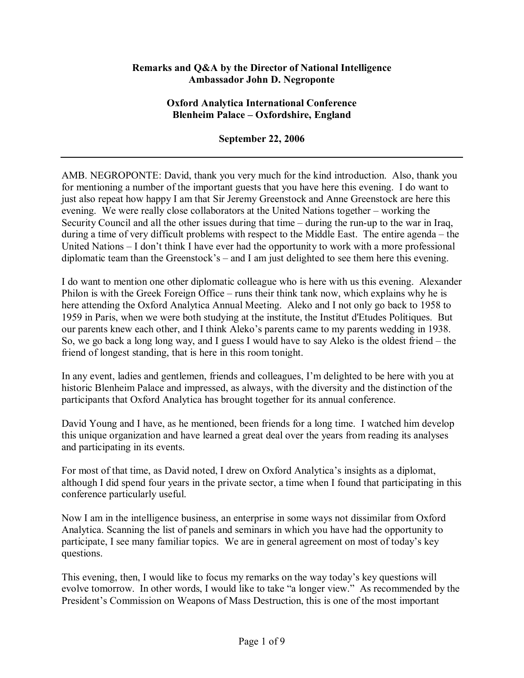### **Remarks and Q&A by the Director of National Intelligence Ambassador John D. Negroponte**

### **Oxford Analytica International Conference Blenheim Palace – Oxfordshire, England**

### **September 22, 2006**

AMB. NEGROPONTE: David, thank you very much for the kind introduction. Also, thank you for mentioning a number of the important guests that you have here this evening. I do want to just also repeat how happy I am that Sir Jeremy Greenstock and Anne Greenstock are here this evening. We were really close collaborators at the United Nations together  $-$  working the Security Council and all the other issues during that time  $-$  during the run-up to the war in Iraq, during a time of very difficult problems with respect to the Middle East. The entire agenda  $-$  the United Nations  $-1$  don't think I have ever had the opportunity to work with a more professional diplomatic team than the Greenstock's – and I am just delighted to see them here this evening.

I do want to mention one other diplomatic colleague who is here with us this evening. Alexander Philon is with the Greek Foreign Office – runs their think tank now, which explains why he is here attending the Oxford Analytica Annual Meeting. Aleko and I not only go back to 1958 to 1959 in Paris, when we were both studying at the institute, the Institut d'Etudes Politiques. But our parents knew each other, and I think Aleko's parents came to my parents wedding in 1938. So, we go back a long long way, and I guess I would have to say Aleko is the oldest friend  $-$  the friend of longest standing, that is here in this room tonight.

In any event, ladies and gentlemen, friends and colleagues, I'm delighted to be here with you at historic Blenheim Palace and impressed, as always, with the diversity and the distinction of the participants that Oxford Analytica has brought together for its annual conference.

David Young and I have, as he mentioned, been friends for a long time. I watched him develop this unique organization and have learned a great deal over the years from reading its analyses and participating in its events.

For most of that time, as David noted, I drew on Oxford Analytica's insights as a diplomat, although I did spend four years in the private sector, a time when I found that participating in this conference particularly useful.

Now I am in the intelligence business, an enterprise in some ways not dissimilar from Oxford Analytica. Scanning the list of panels and seminars in which you have had the opportunity to participate, I see many familiar topics. We are in general agreement on most of today's key questions.

This evening, then, I would like to focus my remarks on the way today's key questions will evolve tomorrow. In other words, I would like to take "a longer view." As recommended by the President's Commission on Weapons of Mass Destruction, this is one of the most important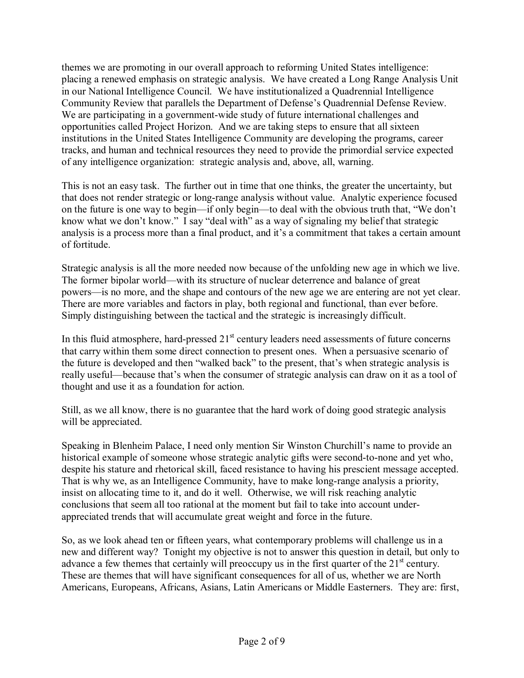themes we are promoting in our overall approach to reforming United States intelligence: placing a renewed emphasis on strategic analysis. We have created a Long Range Analysis Unit in our National Intelligence Council. We have institutionalized a Quadrennial Intelligence Community Review that parallels the Department of Defense's Quadrennial Defense Review. We are participating in a government-wide study of future international challenges and opportunities called Project Horizon. And we are taking steps to ensure that all sixteen institutions in the United States Intelligence Community are developing the programs, career tracks, and human and technical resources they need to provide the primordial service expected of any intelligence organization: strategic analysis and, above, all, warning.

This is not an easy task. The further out in time that one thinks, the greater the uncertainty, but that does not render strategic or long-range analysis without value. Analytic experience focused on the future is one way to begin—if only begin—to deal with the obvious truth that, "We don't know what we don't know." I say "deal with" as a way of signaling my belief that strategic analysis is a process more than a final product, and it's a commitment that takes a certain amount of fortitude.

Strategic analysis is all the more needed now because of the unfolding new age in which we live. The former bipolar world—with its structure of nuclear deterrence and balance of great powers—is no more, and the shape and contours of the new age we are entering are not yet clear. There are more variables and factors in play, both regional and functional, than ever before. Simply distinguishing between the tactical and the strategic is increasingly difficult.

In this fluid atmosphere, hard-pressed  $21<sup>st</sup>$  century leaders need assessments of future concerns that carry within them some direct connection to present ones. When a persuasive scenario of the future is developed and then "walked back" to the present, that's when strategic analysis is really useful—because that's when the consumer of strategic analysis can draw on it as a tool of thought and use it as a foundation for action.

Still, as we all know, there is no guarantee that the hard work of doing good strategic analysis will be appreciated.

Speaking in Blenheim Palace, I need only mention Sir Winston Churchill's name to provide an historical example of someone whose strategic analytic gifts were second-to-none and yet who, despite his stature and rhetorical skill, faced resistance to having his prescient message accepted. That is why we, as an Intelligence Community, have to make long-range analysis a priority, insist on allocating time to it, and do it well. Otherwise, we will risk reaching analytic conclusions that seem all too rational at the moment but fail to take into account underappreciated trends that will accumulate great weight and force in the future.

So, as we look ahead ten or fifteen years, what contemporary problems will challenge us in a new and different way? Tonight my objective is not to answer this question in detail, but only to advance a few themes that certainly will preoccupy us in the first quarter of the  $21<sup>st</sup>$  century. These are themes that will have significant consequences for all of us, whether we are North Americans, Europeans, Africans, Asians, Latin Americans or Middle Easterners. They are: first,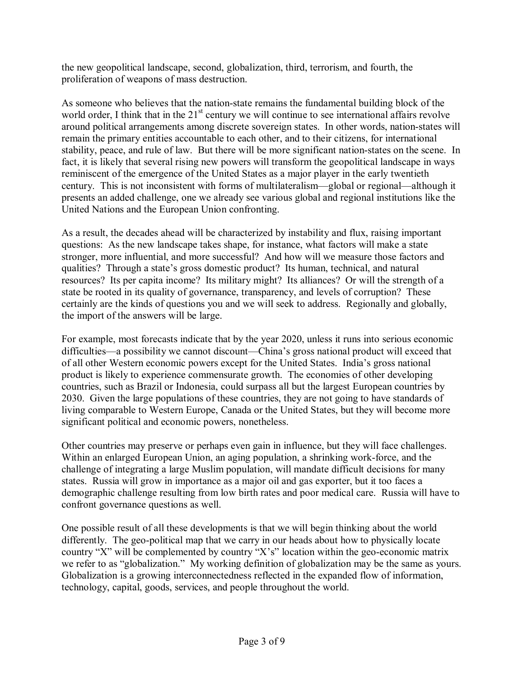the new geopolitical landscape, second, globalization, third, terrorism, and fourth, the proliferation of weapons of mass destruction.

As someone who believes that the nation-state remains the fundamental building block of the world order. I think that in the  $21<sup>st</sup>$  century we will continue to see international affairs revolve around political arrangements among discrete sovereign states. In other words, nation-states will remain the primary entities accountable to each other, and to their citizens, for international stability, peace, and rule of law. But there will be more significant nation-states on the scene. In fact, it is likely that several rising new powers will transform the geopolitical landscape in ways reminiscent of the emergence of the United States as a major player in the early twentieth century. This is not inconsistent with forms of multilateralism—global or regional—although it presents an added challenge, one we already see various global and regional institutions like the United Nations and the European Union confronting.

As a result, the decades ahead will be characterized by instability and flux, raising important questions: As the new landscape takes shape, for instance, what factors will make a state stronger, more influential, and more successful? And how will we measure those factors and qualities? Through a state's gross domestic product? Its human, technical, and natural resources? Its per capita income? Its military might? Its alliances? Or will the strength of a state be rooted in its quality of governance, transparency, and levels of corruption? These certainly are the kinds of questions you and we will seek to address. Regionally and globally, the import of the answers will be large.

For example, most forecasts indicate that by the year 2020, unless it runs into serious economic difficulties—a possibility we cannot discount—China's gross national product will exceed that of all other Western economic powers except for the United States. India's gross national product is likely to experience commensurate growth. The economies of other developing countries, such as Brazil or Indonesia, could surpass all but the largest European countries by 2030. Given the large populations of these countries, they are not going to have standards of living comparable to Western Europe, Canada or the United States, but they will become more significant political and economic powers, nonetheless.

Other countries may preserve or perhaps even gain in influence, but they will face challenges. Within an enlarged European Union, an aging population, a shrinking work-force, and the challenge of integrating a large Muslim population, will mandate difficult decisions for many states. Russia will grow in importance as a major oil and gas exporter, but it too faces a demographic challenge resulting from low birth rates and poor medical care. Russia will have to confront governance questions as well.

One possible result of all these developments is that we will begin thinking about the world differently. The geo-political map that we carry in our heads about how to physically locate country "X" will be complemented by country "X's" location within the geo-economic matrix we refer to as "globalization." My working definition of globalization may be the same as yours. Globalization is a growing interconnectedness reflected in the expanded flow of information, technology, capital, goods, services, and people throughout the world.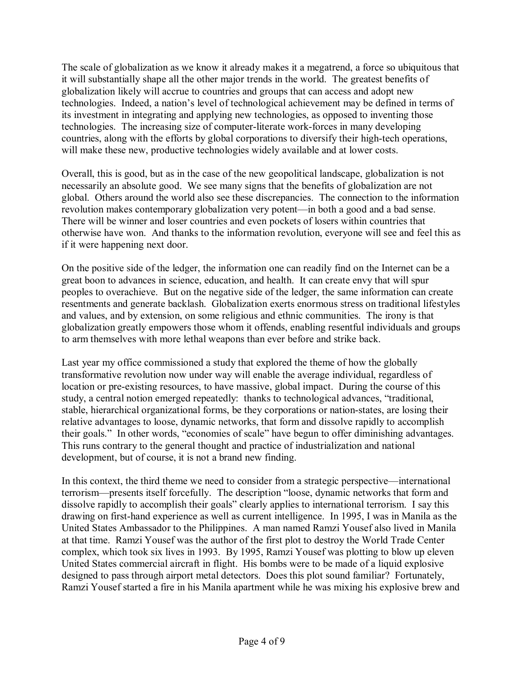The scale of globalization as we know it already makes it a megatrend, a force so ubiquitous that it will substantially shape all the other major trends in the world. The greatest benefits of globalization likely will accrue to countries and groups that can access and adopt new technologies. Indeed, a nation's level of technological achievement may be defined in terms of its investment in integrating and applying new technologies, as opposed to inventing those technologies. The increasing size of computer-literate work-forces in many developing countries, along with the efforts by global corporations to diversify their high-tech operations, will make these new, productive technologies widely available and at lower costs.

Overall, this is good, but as in the case of the new geopolitical landscape, globalization is not necessarily an absolute good. We see many signs that the benefits of globalization are not global. Others around the world also see these discrepancies. The connection to the information revolution makes contemporary globalization very potent—in both a good and a bad sense. There will be winner and loser countries and even pockets of losers within countries that otherwise have won. And thanks to the information revolution, everyone will see and feel this as if it were happening next door.

On the positive side of the ledger, the information one can readily find on the Internet can be a great boon to advances in science, education, and health. It can create envy that will spur peoples to overachieve. But on the negative side of the ledger, the same information can create resentments and generate backlash. Globalization exerts enormous stress on traditional lifestyles and values, and by extension, on some religious and ethnic communities. The irony is that globalization greatly empowers those whom it offends, enabling resentful individuals and groups to arm themselves with more lethal weapons than ever before and strike back.

Last year my office commissioned a study that explored the theme of how the globally transformative revolution now under way will enable the average individual, regardless of location or pre-existing resources, to have massive, global impact. During the course of this study, a central notion emerged repeatedly: thanks to technological advances, "traditional, stable, hierarchical organizational forms, be they corporations or nation-states, are losing their relative advantages to loose, dynamic networks, that form and dissolve rapidly to accomplish their goals." In other words, "economies of scale" have begun to offer diminishing advantages. This runs contrary to the general thought and practice of industrialization and national development, but of course, it is not a brand new finding.

In this context, the third theme we need to consider from a strategic perspective—international terrorism—presents itself forcefully. The description "loose, dynamic networks that form and dissolve rapidly to accomplish their goals" clearly applies to international terrorism. I say this drawing on first-hand experience as well as current intelligence. In 1995, I was in Manila as the United States Ambassador to the Philippines. A man named Ramzi Yousef also lived in Manila at that time. Ramzi Yousef was the author of the first plot to destroy the World Trade Center complex, which took six lives in 1993. By 1995, Ramzi Yousef was plotting to blow up eleven United States commercial aircraft in flight. His bombs were to be made of a liquid explosive designed to pass through airport metal detectors. Does this plot sound familiar? Fortunately, Ramzi Yousef started a fire in his Manila apartment while he was mixing his explosive brew and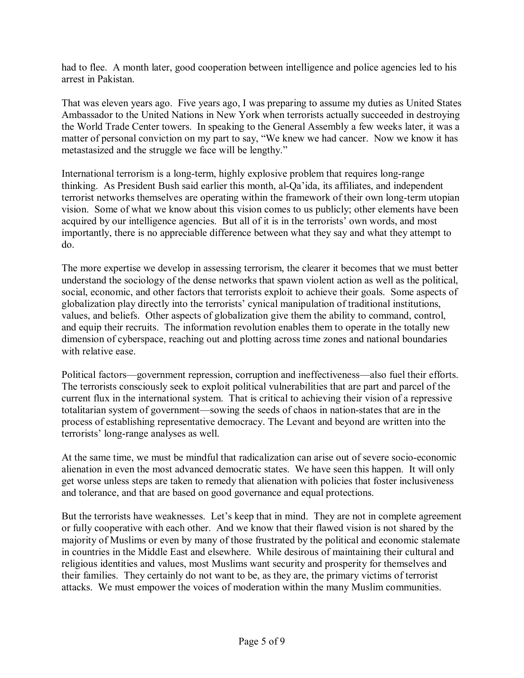had to flee. A month later, good cooperation between intelligence and police agencies led to his arrest in Pakistan.

That was eleven years ago. Five years ago, I was preparing to assume my duties as United States Ambassador to the United Nations in New York when terrorists actually succeeded in destroying the World Trade Center towers. In speaking to the General Assembly a few weeks later, it was a matter of personal conviction on my part to say, "We knew we had cancer. Now we know it has metastasized and the struggle we face will be lengthy."

International terrorism is a long-term, highly explosive problem that requires long-range thinking. As President Bush said earlier this month, al-Qa'ida, its affiliates, and independent terrorist networks themselves are operating within the framework of their own long-term utopian vision. Some of what we know about this vision comes to us publicly; other elements have been acquired by our intelligence agencies. But all of it is in the terrorists' own words, and most importantly, there is no appreciable difference between what they say and what they attempt to do.

The more expertise we develop in assessing terrorism, the clearer it becomes that we must better understand the sociology of the dense networks that spawn violent action as well as the political, social, economic, and other factors that terrorists exploit to achieve their goals. Some aspects of globalization play directly into the terrorists' cynical manipulation of traditional institutions, values, and beliefs. Other aspects of globalization give them the ability to command, control, and equip their recruits. The information revolution enables them to operate in the totally new dimension of cyberspace, reaching out and plotting across time zones and national boundaries with relative ease.

Political factors—government repression, corruption and ineffectiveness—also fuel their efforts. The terrorists consciously seek to exploit political vulnerabilities that are part and parcel of the current flux in the international system. That is critical to achieving their vision of a repressive totalitarian system of government—sowing the seeds of chaos in nation-states that are in the process of establishing representative democracy. The Levant and beyond are written into the terrorists' long-range analyses as well.

At the same time, we must be mindful that radicalization can arise out of severe socio-economic alienation in even the most advanced democratic states. We have seen this happen. It will only get worse unless steps are taken to remedy that alienation with policies that foster inclusiveness and tolerance, and that are based on good governance and equal protections.

But the terrorists have weaknesses. Let's keep that in mind. They are not in complete agreement or fully cooperative with each other. And we know that their flawed vision is not shared by the majority of Muslims or even by many of those frustrated by the political and economic stalemate in countries in the Middle East and elsewhere. While desirous of maintaining their cultural and religious identities and values, most Muslims want security and prosperity for themselves and their families. They certainly do not want to be, as they are, the primary victims of terrorist attacks. We must empower the voices of moderation within the many Muslim communities.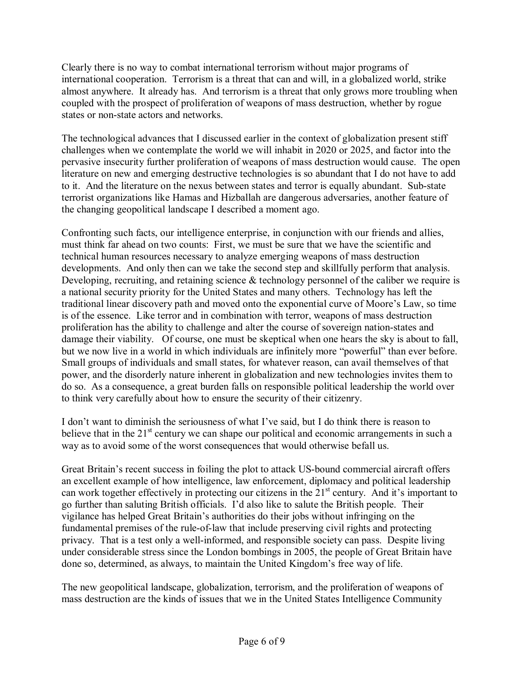Clearly there is no way to combat international terrorism without major programs of international cooperation. Terrorism is a threat that can and will, in a globalized world, strike almost anywhere. It already has. And terrorism is a threat that only grows more troubling when coupled with the prospect of proliferation of weapons of mass destruction, whether by rogue states or non-state actors and networks.

The technological advances that I discussed earlier in the context of globalization present stiff challenges when we contemplate the world we will inhabit in 2020 or 2025, and factor into the pervasive insecurity further proliferation of weapons of mass destruction would cause. The open literature on new and emerging destructive technologies is so abundant that I do not have to add to it. And the literature on the nexus between states and terror is equally abundant. Sub-state terrorist organizations like Hamas and Hizballah are dangerous adversaries, another feature of the changing geopolitical landscape I described a moment ago.

Confronting such facts, our intelligence enterprise, in conjunction with our friends and allies, must think far ahead on two counts: First, we must be sure that we have the scientific and technical human resources necessary to analyze emerging weapons of mass destruction developments. And only then can we take the second step and skillfully perform that analysis. Developing, recruiting, and retaining science  $\&$  technology personnel of the caliber we require is a national security priority for the United States and many others. Technology has left the traditional linear discovery path and moved onto the exponential curve of Moore's Law, so time is of the essence. Like terror and in combination with terror, weapons of mass destruction proliferation has the ability to challenge and alter the course of sovereign nation-states and damage their viability. Of course, one must be skeptical when one hears the sky is about to fall, but we now live in a world in which individuals are infinitely more "powerful" than ever before. Small groups of individuals and small states, for whatever reason, can avail themselves of that power, and the disorderly nature inherent in globalization and new technologies invites them to do so. As a consequence, a great burden falls on responsible political leadership the world over to think very carefully about how to ensure the security of their citizenry.

I don't want to diminish the seriousness of what I've said, but I do think there is reason to believe that in the  $21<sup>st</sup>$  century we can shape our political and economic arrangements in such a way as to avoid some of the worst consequences that would otherwise befall us.

Great Britain's recent success in foiling the plot to attack US-bound commercial aircraft offers an excellent example of how intelligence, law enforcement, diplomacy and political leadership can work together effectively in protecting our citizens in the  $21<sup>st</sup>$  century. And it's important to go further than saluting British officials. Iíd also like to salute the British people. Their vigilance has helped Great Britain's authorities do their jobs without infringing on the fundamental premises of the rule-of-law that include preserving civil rights and protecting privacy. That is a test only a well-informed, and responsible society can pass. Despite living under considerable stress since the London bombings in 2005, the people of Great Britain have done so, determined, as always, to maintain the United Kingdom's free way of life.

The new geopolitical landscape, globalization, terrorism, and the proliferation of weapons of mass destruction are the kinds of issues that we in the United States Intelligence Community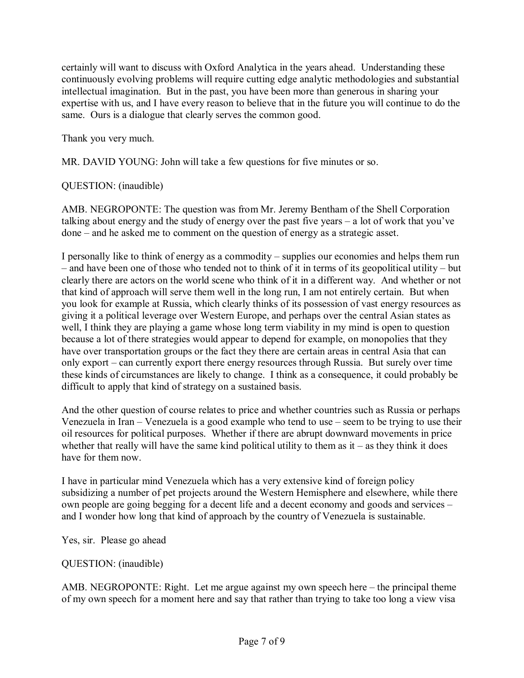certainly will want to discuss with Oxford Analytica in the years ahead. Understanding these continuously evolving problems will require cutting edge analytic methodologies and substantial intellectual imagination. But in the past, you have been more than generous in sharing your expertise with us, and I have every reason to believe that in the future you will continue to do the same. Ours is a dialogue that clearly serves the common good.

Thank you very much.

MR. DAVID YOUNG: John will take a few questions for five minutes or so.

# QUESTION: (inaudible)

AMB. NEGROPONTE: The question was from Mr. Jeremy Bentham of the Shell Corporation talking about energy and the study of energy over the past five years  $-$  a lot of work that you've  $done - and he asked me to comment on the question of energy as a strategic asset.$ 

I personally like to think of energy as a commodity  $-$  supplies our economies and helps them run  $\alpha$  – and have been one of those who tended not to think of it in terms of its geopolitical utility – but clearly there are actors on the world scene who think of it in a different way. And whether or not that kind of approach will serve them well in the long run, I am not entirely certain. But when you look for example at Russia, which clearly thinks of its possession of vast energy resources as giving it a political leverage over Western Europe, and perhaps over the central Asian states as well, I think they are playing a game whose long term viability in my mind is open to question because a lot of there strategies would appear to depend for example, on monopolies that they have over transportation groups or the fact they there are certain areas in central Asia that can only export – can currently export there energy resources through Russia. But surely over time these kinds of circumstances are likely to change. I think as a consequence, it could probably be difficult to apply that kind of strategy on a sustained basis.

And the other question of course relates to price and whether countries such as Russia or perhaps Venezuela in Iran – Venezuela is a good example who tend to use – seem to be trying to use their oil resources for political purposes. Whether if there are abrupt downward movements in price whether that really will have the same kind political utility to them as  $it -$  as they think it does have for them now.

I have in particular mind Venezuela which has a very extensive kind of foreign policy subsidizing a number of pet projects around the Western Hemisphere and elsewhere, while there own people are going begging for a decent life and a decent economy and goods and services  $-\frac{1}{2}$ and I wonder how long that kind of approach by the country of Venezuela is sustainable.

Yes, sir. Please go ahead

QUESTION: (inaudible)

AMB. NEGROPONTE: Right. Let me argue against my own speech here  $-$  the principal theme of my own speech for a moment here and say that rather than trying to take too long a view visa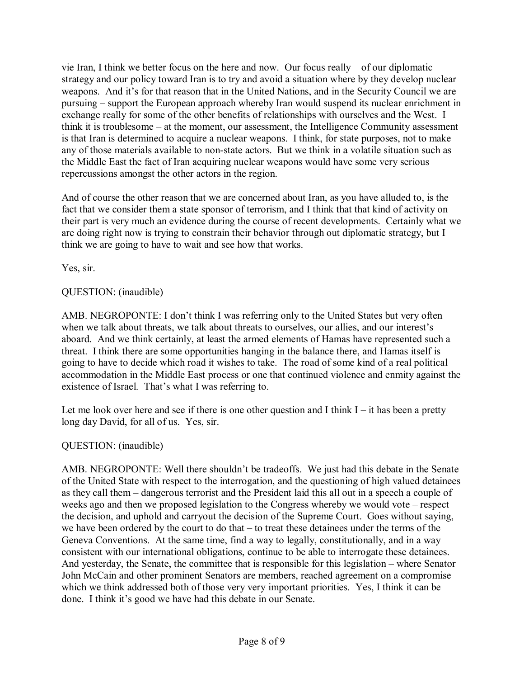vie Iran, I think we better focus on the here and now. Our focus really  $-$  of our diplomatic strategy and our policy toward Iran is to try and avoid a situation where by they develop nuclear weapons. And it's for that reason that in the United Nations, and in the Security Council we are pursuing – support the European approach whereby Iran would suspend its nuclear enrichment in exchange really for some of the other benefits of relationships with ourselves and the West. I think it is troublesome – at the moment, our assessment, the Intelligence Community assessment is that Iran is determined to acquire a nuclear weapons. I think, for state purposes, not to make any of those materials available to non-state actors. But we think in a volatile situation such as the Middle East the fact of Iran acquiring nuclear weapons would have some very serious repercussions amongst the other actors in the region.

And of course the other reason that we are concerned about Iran, as you have alluded to, is the fact that we consider them a state sponsor of terrorism, and I think that that kind of activity on their part is very much an evidence during the course of recent developments. Certainly what we are doing right now is trying to constrain their behavior through out diplomatic strategy, but I think we are going to have to wait and see how that works.

Yes, sir.

# QUESTION: (inaudible)

AMB. NEGROPONTE: I don't think I was referring only to the United States but very often when we talk about threats, we talk about threats to ourselves, our allies, and our interest's aboard. And we think certainly, at least the armed elements of Hamas have represented such a threat. I think there are some opportunities hanging in the balance there, and Hamas itself is going to have to decide which road it wishes to take. The road of some kind of a real political accommodation in the Middle East process or one that continued violence and enmity against the existence of Israel. That's what I was referring to.

Let me look over here and see if there is one other question and I think  $I - it$  has been a pretty long day David, for all of us. Yes, sir.

# QUESTION: (inaudible)

AMB. NEGROPONTE: Well there shouldn't be tradeoffs. We just had this debate in the Senate of the United State with respect to the interrogation, and the questioning of high valued detainees as they call them – dangerous terrorist and the President laid this all out in a speech a couple of weeks ago and then we proposed legislation to the Congress whereby we would vote  $-$  respect the decision, and uphold and carryout the decision of the Supreme Court. Goes without saying, we have been ordered by the court to do that  $-$  to treat these detainees under the terms of the Geneva Conventions. At the same time, find a way to legally, constitutionally, and in a way consistent with our international obligations, continue to be able to interrogate these detainees. And yesterday, the Senate, the committee that is responsible for this legislation  $-$  where Senator John McCain and other prominent Senators are members, reached agreement on a compromise which we think addressed both of those very very important priorities. Yes, I think it can be done. I think it's good we have had this debate in our Senate.